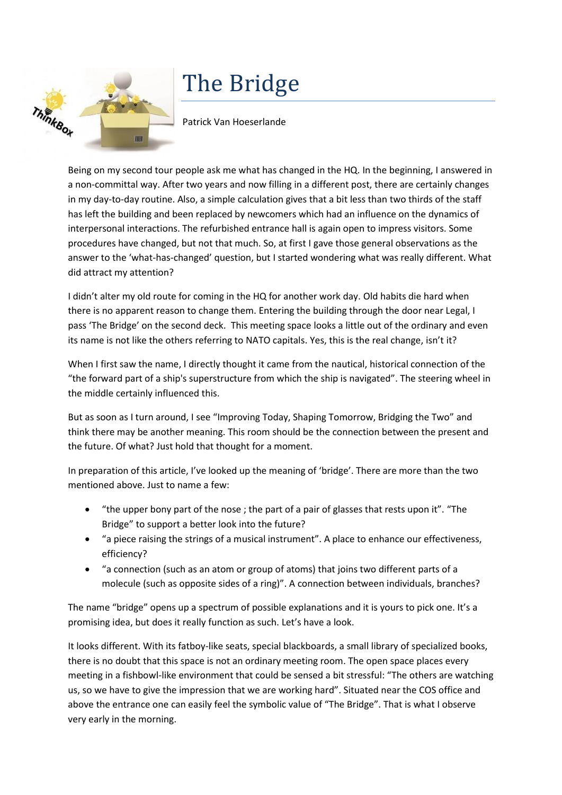

## The Bridge

Patrick Van Hoeserlande

Being on my second tour people ask me what has changed in the HQ. In the beginning, I answered in a non-committal way. After two years and now filling in a different post, there are certainly changes in my day-to-day routine. Also, a simple calculation gives that a bit less than two thirds of the staff has left the building and been replaced by newcomers which had an influence on the dynamics of interpersonal interactions. The refurbished entrance hall is again open to impress visitors. Some procedures have changed, but not that much. So, at first I gave those general observations as the answer to the 'what-has-changed' question, but I started wondering what was really different. What did attract my attention?

I didn't alter my old route for coming in the HQ for another work day. Old habits die hard when there is no apparent reason to change them. Entering the building through the door near Legal, I pass 'The Bridge' on the second deck. This meeting space looks a little out of the ordinary and even its name is not like the others referring to NATO capitals. Yes, this is the real change, isn't it?

When I first saw the name, I directly thought it came from the nautical, historical connection of the "the forward part of a ship's superstructure from which the ship is navigated". The steering wheel in the middle certainly influenced this.

But as soon as I turn around, I see "Improving Today, Shaping Tomorrow, Bridging the Two" and think there may be another meaning. This room should be the connection between the present and the future. Of what? Just hold that thought for a moment.

In preparation of this article, I've looked up the meaning of 'bridge'. There are more than the two mentioned above. Just to name a few:

- "the upper bony part of the nose ; the part of a pair of glasses that rests upon it". "The Bridge" to support a better look into the future?
- "a piece raising the strings of a musical instrument". A place to enhance our effectiveness, efficiency?
- "a connection (such as an atom or group of atoms) that joins two different parts of a molecule (such as opposite sides of a ring)". A connection between individuals, branches?

The name "bridge" opens up a spectrum of possible explanations and it is yours to pick one. It's a promising idea, but does it really function as such. Let's have a look.

It looks different. With its fatboy-like seats, special blackboards, a small library of specialized books, there is no doubt that this space is not an ordinary meeting room. The open space places every meeting in a fishbowl-like environment that could be sensed a bit stressful: "The others are watching us, so we have to give the impression that we are working hard". Situated near the COS office and above the entrance one can easily feel the symbolic value of "The Bridge". That is what I observe very early in the morning.